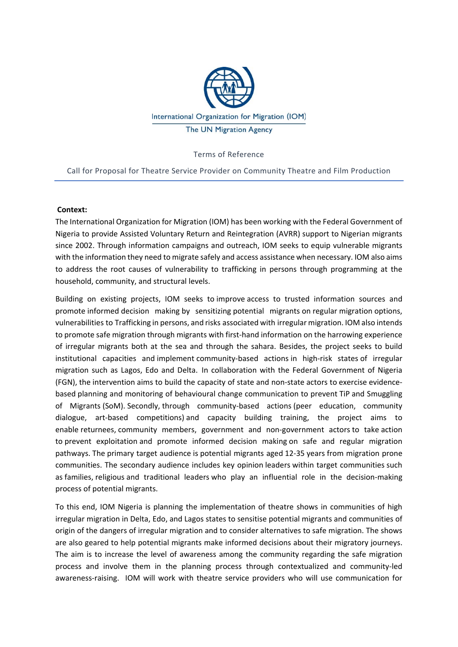

Terms of Reference

Call for Proposal for Theatre Service Provider on Community Theatre and Film Production

#### **Context:**

The International Organization for Migration (IOM) has been working with the Federal Government of Nigeria to provide Assisted Voluntary Return and Reintegration (AVRR) support to Nigerian migrants since 2002. Through information campaigns and outreach, IOM seeks to equip vulnerable migrants with the information they need to migrate safely and access assistance when necessary. IOM also aims to address the root causes of vulnerability to trafficking in persons through programming at the household, community, and structural levels.

Building on existing projects, IOM seeks to improve access to trusted information sources and promote informed decision making by sensitizing potential migrants on regular migration options, vulnerabilities to Trafficking in persons, and risks associated with irregular migration. IOM also intends to promote safe migration through migrants with first-hand information on the harrowing experience of irregular migrants both at the sea and through the sahara. Besides, the project seeks to build institutional capacities and implement community-based actions in high-risk states of irregular migration such as Lagos, Edo and Delta. In collaboration with the Federal Government of Nigeria (FGN), the intervention aims to build the capacity of state and non‐state actors to exercise evidence‐ based planning and monitoring of behavioural change communication to prevent TiP and Smuggling of Migrants (SoM). Secondly, through community‐based actions (peer education, community dialogue, art‐based competitions) and capacity building training, the project aims to enable returnees, community members, government and non‐government actors to take action to prevent exploitation and promote informed decision making on safe and regular migration pathways. The primary target audience is potential migrants aged 12‐35 years from migration prone communities. The secondary audience includes key opinion leaders within target communities such as families, religious and traditional leaders who play an influential role in the decision‐making process of potential migrants.

To this end, IOM Nigeria is planning the implementation of theatre shows in communities of high irregular migration in Delta, Edo, and Lagos states to sensitise potential migrants and communities of origin of the dangers of irregular migration and to consider alternatives to safe migration. The shows are also geared to help potential migrants make informed decisions about their migratory journeys. The aim is to increase the level of awareness among the community regarding the safe migration process and involve them in the planning process through contextualized and community-led awareness-raising. IOM will work with theatre service providers who will use communication for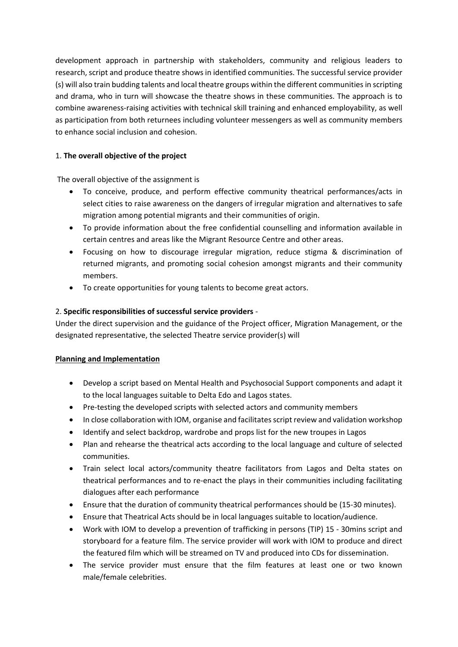development approach in partnership with stakeholders, community and religious leaders to research, script and produce theatre shows in identified communities. The successful service provider (s) will also train budding talents and local theatre groups within the different communities in scripting and drama, who in turn will showcase the theatre shows in these communities. The approach is to combine awareness‐raising activities with technical skill training and enhanced employability, as well as participation from both returnees including volunteer messengers as well as community members to enhance social inclusion and cohesion.

# 1. **The overall objective of the project**

The overall objective of the assignment is

- To conceive, produce, and perform effective community theatrical performances/acts in select cities to raise awareness on the dangers of irregular migration and alternatives to safe migration among potential migrants and their communities of origin.
- To provide information about the free confidential counselling and information available in certain centres and areas like the Migrant Resource Centre and other areas.
- Focusing on how to discourage irregular migration, reduce stigma & discrimination of returned migrants, and promoting social cohesion amongst migrants and their community members.
- To create opportunities for young talents to become great actors.

# 2. **Specific responsibilities of successful service providers** ‐

Under the direct supervision and the guidance of the Project officer, Migration Management, or the designated representative, the selected Theatre service provider(s) will

## **Planning and Implementation**

- Develop a script based on Mental Health and Psychosocial Support components and adapt it to the local languages suitable to Delta Edo and Lagos states.
- Pre-testing the developed scripts with selected actors and community members
- In close collaboration with IOM, organise and facilitates script review and validation workshop
- Identify and select backdrop, wardrobe and props list for the new troupes in Lagos
- Plan and rehearse the theatrical acts according to the local language and culture of selected communities.
- Train select local actors/community theatre facilitators from Lagos and Delta states on theatrical performances and to re‐enact the plays in their communities including facilitating dialogues after each performance
- Ensure that the duration of community theatrical performances should be (15‐30 minutes).
- Ensure that Theatrical Acts should be in local languages suitable to location/audience.
- Work with IOM to develop a prevention of trafficking in persons (TIP) 15 ‐ 30mins script and storyboard for a feature film. The service provider will work with IOM to produce and direct the featured film which will be streamed on TV and produced into CDs for dissemination.
- The service provider must ensure that the film features at least one or two known male/female celebrities.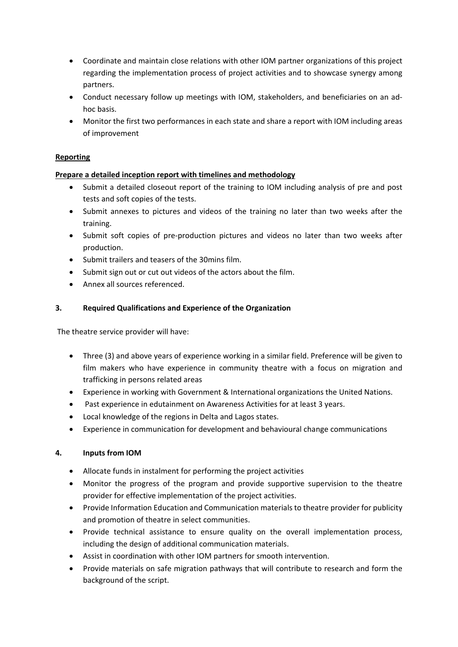- Coordinate and maintain close relations with other IOM partner organizations of this project regarding the implementation process of project activities and to showcase synergy among partners.
- Conduct necessary follow up meetings with IOM, stakeholders, and beneficiaries on an adhoc basis.
- Monitor the first two performances in each state and share a report with IOM including areas of improvement

## **Reporting**

## **Prepare a detailed inception report with timelines and methodology**

- Submit a detailed closeout report of the training to IOM including analysis of pre and post tests and soft copies of the tests.
- Submit annexes to pictures and videos of the training no later than two weeks after the training.
- Submit soft copies of pre-production pictures and videos no later than two weeks after production.
- Submit trailers and teasers of the 30mins film.
- Submit sign out or cut out videos of the actors about the film.
- Annex all sources referenced.

### **3. Required Qualifications and Experience of the Organization**

The theatre service provider will have:

- Three (3) and above years of experience working in a similar field. Preference will be given to film makers who have experience in community theatre with a focus on migration and trafficking in persons related areas
- Experience in working with Government & International organizations the United Nations.
- Past experience in edutainment on Awareness Activities for at least 3 years.
- Local knowledge of the regions in Delta and Lagos states.
- Experience in communication for development and behavioural change communications

## **4. Inputs from IOM**

- Allocate funds in instalment for performing the project activities
- Monitor the progress of the program and provide supportive supervision to the theatre provider for effective implementation of the project activities.
- Provide Information Education and Communication materials to theatre provider for publicity and promotion of theatre in select communities.
- Provide technical assistance to ensure quality on the overall implementation process, including the design of additional communication materials.
- Assist in coordination with other IOM partners for smooth intervention.
- Provide materials on safe migration pathways that will contribute to research and form the background of the script.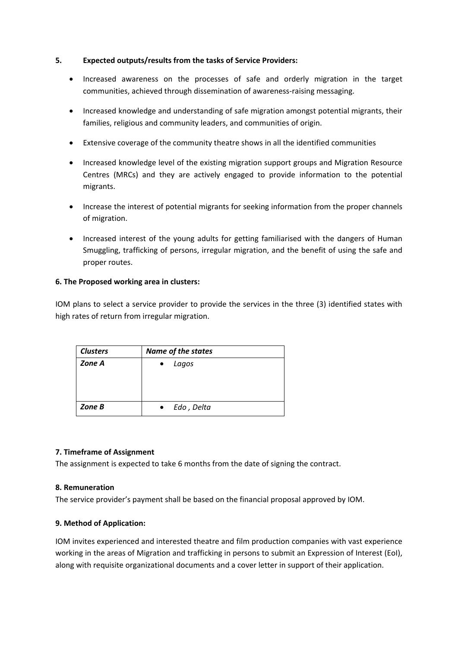#### **5. Expected outputs/results from the tasks of Service Providers:**

- Increased awareness on the processes of safe and orderly migration in the target communities, achieved through dissemination of awareness-raising messaging.
- Increased knowledge and understanding of safe migration amongst potential migrants, their families, religious and community leaders, and communities of origin.
- Extensive coverage of the community theatre shows in all the identified communities
- Increased knowledge level of the existing migration support groups and Migration Resource Centres (MRCs) and they are actively engaged to provide information to the potential migrants.
- Increase the interest of potential migrants for seeking information from the proper channels of migration.
- Increased interest of the young adults for getting familiarised with the dangers of Human Smuggling, trafficking of persons, irregular migration, and the benefit of using the safe and proper routes.

### **6. The Proposed working area in clusters:**

IOM plans to select a service provider to provide the services in the three (3) identified states with high rates of return from irregular migration.

| <b>Clusters</b> | <b>Name of the states</b> |
|-----------------|---------------------------|
| Zone A          | Lagos                     |
| Zone B          | Edo, Delta                |

#### **7. Timeframe of Assignment**

The assignment is expected to take 6 months from the date of signing the contract.

#### **8. Remuneration**

The service provider's payment shall be based on the financial proposal approved by IOM.

#### **9. Method of Application:**

IOM invites experienced and interested theatre and film production companies with vast experience working in the areas of Migration and trafficking in persons to submit an Expression of Interest (EoI), along with requisite organizational documents and a cover letter in support of their application.